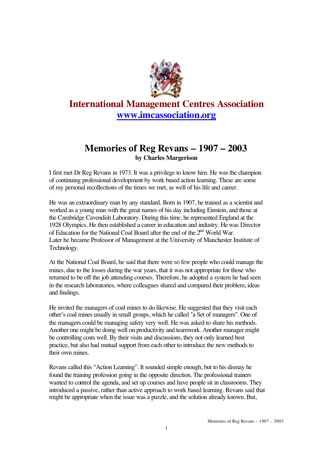

## **International Management Centres Association www.imcassociation.org**

## **Memories of Reg Revans – 1907 – 2003 by Charles Margerison**

I first met Dr Reg Revans in 1973. It was a privilege to know him. He was the champion of continuing professional development by work based action learning. These are some of my personal recollections of the times we met, as well of his life and career.

He was an extraordinary man by any standard. Born in 1907, he trained as a scientist and worked as a young man with the great names of his day including Einstein, and those at the Cambridge Cavendish Laboratory. During this time, he represented England at the 1928 Olympics. He then established a career in education and industry. He was Director of Education for the National Coal Board after the end of the  $2<sup>nd</sup>$  World War. Later he became Professor of Management at the University of Manchester Institute of Technology.

At the National Coal Board, he said that there were so few people who could manage the mines, due to the losses during the war years, that it was not appropriate for those who returned to be off the job attending courses. Therefore, he adopted a system he had seen in the research laboratories, where colleagues shared and compared their problem, ideas and findings.

He invited the managers of coal mines to do likewise. He suggested that they visit each other's coal mines usually in small groups, which he called "a Set of managers". One of the managers could be managing safety very well. He was asked to share his methods. Another one might be doing well on productivity and teamwork. Another manager might be controlling costs well. By their visits and discussions, they not only learned best practice, but also had mutual support from each other to introduce the new methods to their own mines.

Revans called this "Action Learning". It sounded simple enough, but to his dismay he found the training profession going in the opposite direction. The professional trainers wanted to control the agenda, and set up courses and have people sit in classrooms. They introduced a passive, rather than active approach to work based learning. Revans said that might be appropriate when the issue was a puzzle, and the solution already known. But,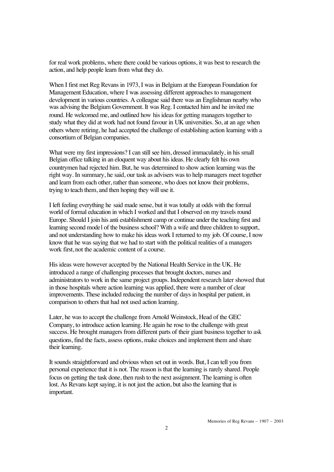for real work problems, where there could be various options, it was best to research the action, and help people learn from what they do.

When I first met Reg Revans in 1973, I was in Belgium at the European Foundation for Management Education, where I was assessing different approaches to management development in various countries. A colleague said there was an Englishman nearby who was advising the Belgium Government. It was Reg. I contacted him and he invited me round. He welcomed me, and outlined how his ideas for getting managers together to study what they did at work had not found favour in UK universities. So, at an age when others where retiring, he had accepted the challenge of establishing action learning with a consortium of Belgian companies.

What were my first impressions? I can still see him, dressed immaculately, in his small Belgian office talking in an eloquent way about his ideas. He clearly felt his own countrymen had rejected him. But, he was determined to show action learning was the right way. In summary, he said, our task as advisers was to help managers meet together and learn from each other, rather than someone, who does not know their problems, trying to teach them, and then hoping they will use it.

I left feeling everything he said made sense, but it was totally at odds with the formal world of formal education in which I worked and that I observed on my travels round Europe. Should I join his anti establishment camp or continue under the teaching first and learning second model of the business school? With a wife and three children to support, and not understanding how to make his ideas work I returned to my job. Of course, I now know that he was saying that we had to start with the political realities of a managers work first, not the academic content of a course.

His ideas were however accepted by the National Health Service in the UK. He introduced a range of challenging processes that brought doctors, nurses and administrators to work in the same project groups. Independent research later showed that in those hospitals where action learning was applied, there were a number of clear improvements. These included reducing the number of days in hospital per patient, in comparison to others that had not used action learning.

Later, he was to accept the challenge from Arnold Weinstock, Head of the GEC Company, to introduce action learning. He again he rose to the challenge with great success. He brought managers from different parts of their giant business together to ask questions, find the facts, assess options, make choices and implement them and share their learning.

It sounds straightforward and obvious when set out in words. But, I can tell you from personal experience that it is not. The reason is that the learning is rarely shared. People focus on getting the task done, then rush to the next assignment. The learning is often lost. As Revans kept saying, it is not just the action, but also the learning that is important.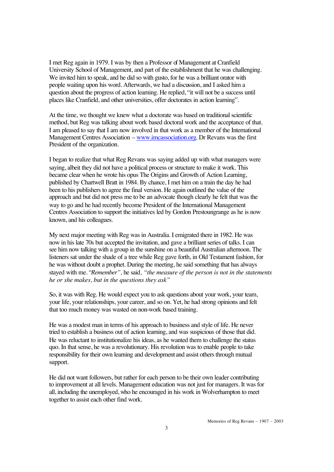I met Reg again in 1979. I was by then a Professor of Management at Cranfield University School of Management, and part of the establishment that he was challenging. We invited him to speak, and he did so with gusto, for he was a brilliant orator with people waiting upon his word. Afterwards, we had a discussion, and I asked him a question about the progress of action learning. He replied, "it will not be a success until places like Cranfield, and other universities, offer doctorates in action learning".

At the time, we thought we knew what a doctorate was based on traditional scientific method, but Reg was talking about work based doctoral work and the acceptance of that. I am pleased to say that I am now involved in that work as a member of the International Management Centres Association – www.imcassociation.org. Dr Revans was the first President of the organization.

I began to realize that what Reg Revans was saying added up with what managers were saying, albeit they did not have a political process or structure to make it work. This became clear when he wrote his opus The Origins and Growth of Action Learning, published by Chartwell Bratt in 1984. By chance, I met him on a train the day he had been to his publishers to agree the final version. He again outlined the value of the approach and but did not press me to be an advocate though clearly he felt that was the way to go and he had recently become President of the International Management Centres Association to support the initiatives led by Gordon Prestoungrange as he is now known, and his colleagues.

My next major meeting with Reg was in Australia. I emigrated there in 1982. He was now in his late 70s but accepted the invitation, and gave a brilliant series of talks. I can see him now talking with a group in the sunshine on a beautiful Australian afternoon. The listeners sat under the shade of a tree while Reg gave forth, in Old Testament fashion, for he was without doubt a prophet. During the meeting, he said something that has always stayed with me. "*Remember",* he said*, "the measure of the person is not in the statements he or she makes, but in the questions they ask"*

So, it was with Reg. He would expect you to ask questions about your work, your team, your life, your relationships, your career, and so on. Yet, he had strong opinions and felt that too much money was wasted on non-work based training.

He was a modest man in terms of his approach to business and style of life. He never tried to establish a business out of action learning, and was suspicious of those that did. He was reluctant to institutionalize his ideas, as he wanted them to challenge the status quo. In that sense, he was a revolutionary. His revolution was to enable people to take responsibility for their own learning and development and assist others through mutual support.

He did not want followers, but rather for each person to be their own leader contributing to improvement at all levels. Management education was not just for managers. It was for all, including the unemployed, who he encouraged in his work in Wolverhampton to meet together to assist each other find work.